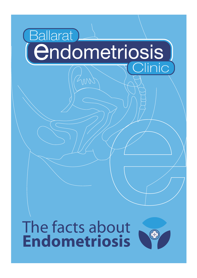# Ballarat **(Endometriosis** Clinic

# The facts about **Endometriosis**

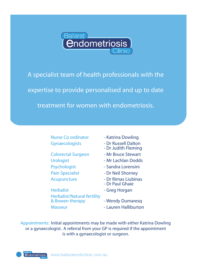

A specialist team of health professionals with the expertise to provide personalised and up to date treatment for women with endometriosis.

Nurse Co ordinator - Katrina Dowling

Psychologist - Sandra Lorensini Pain Specialist - Dr Neil Shorney

Herbalist **- Greg Horgan** Herbalist/Natural fertility & Bowen therapy **- Wendy Dumaresq** Masseur **- Lauren Halliburton** 

Gynaecologists - Dr Russell Dalton - Dr Judith Fleming Colorectal Surgeon - Mr Bruce Stewart Urologist **- Mr Lachlan Dodds** Acupuncture - Dr Rimas Liubinas - Dr Paul Ghaie

Appointments: Initial appointments may be made with either Katrina Dowling or a gynaecologist. A referral from your GP is required if the appointment is with a gynaecologist or surgeon.

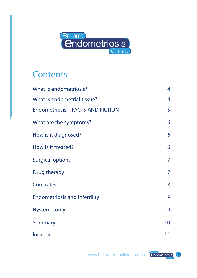

# **Contents**

| What is endometriosis?                   | 4  |
|------------------------------------------|----|
| What is endometrial tissue?              | 4  |
| <b>Endometriosis - FACTS AND FICTION</b> | 5  |
| What are the symptoms?                   | 6  |
| How is it diagnosed?                     | 6  |
| How is it treated?                       | 6  |
| <b>Surgical options</b>                  | 7  |
| Drug therapy                             | 7  |
| <b>Cure rates</b>                        | 8  |
| <b>Endometriosis and infertility</b>     | 9  |
| <b>Hysterectomy</b>                      | 10 |
| <b>Summary</b>                           | 10 |
| location                                 | 11 |

www.ballaratendoclinic.com.au **Challaratense** 3

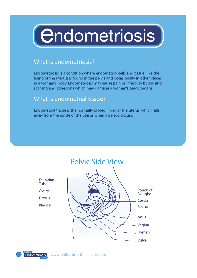# (*<u>Endometriosis</u>*

# What is endometriosis?

Endometriosis is a condition where endometrial cells and tissue (like the lining of the uterus) is found in the pelvis and occasionally in other places in a woman's body. Endometriosis may cause pain or infertility by causing scarring and adhesions which may damage a woman's pelvic organs.

# What is endometrial tissue?

Endometrial tissue is the normally placed lining of the uterus, which falls away from the inside of the uterus when a period occurs.



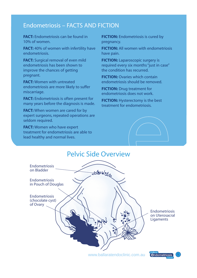# Endometriosis – FACTS AND FICTION

**FACT:** Endometriosis can be found in 10% of women.

**FACT:** 40% of women with infertility have endometriosis.

**FACT:** Surgical removal of even mild endometriosis has been shown to improve the chances of getting pregnant.

**FACT:** Women with untreated endometriosis are more likely to suffer miscarriage.

**FACT:** Endometriosis is often present for many years before the diagnosis is made.

**FACT:** When women are cared for by expert surgeons, repeated operations are seldom required.

**FACT:** Women who have expert treatment for endometriosis are able to lead healthy and normal lives.

**FICTION:** Endometriosis is cured by pregnancy.

**FICTION:** All women with endometriosis have pain.

**FICTION:** Laparoscopic surgery is required every six months "just in case" the condition has recurred.

**FICTION:** Ovaries which contain endometriosis should be removed.

**FICTION:** Drug treatment for endometriosis does not work.

**FICTION:** Hysterectomy is the best treatment for endometriosis.





www.ballaratendoclinic.com.au **Calademetriosis**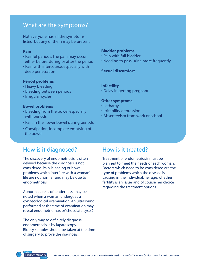# What are the symptoms?

Not everyone has all the symptoms listed, but any of them may be present

#### **Pain**

- Painful periods.The pain may occur either before, during or after the period
- Pain with intercourse, especially with deep penetration

#### **Period problems**

- Heavy bleeding
- Bleeding between periods
- Irregular cycles

#### **Bowel problems**

- Bleeding from the bowel especially with periods
- Pain in the lower bowel during periods
- Constipation, incomplete emptying of the bowel

#### **Bladder problems**

- Pain with full bladder
- Needing to pass urine more frequently

#### **Sexual discomfort**

#### **Infertility**

• Delay in getting pregnant

#### **Other symptoms**

- Lethargy
- Irritability depression
- Absenteeism from work or school

# How is it diagnosed?

The discovery of endometriosis is often delayed because the diagnosis is not considered. Pain, bleeding or bowel problems which interfere with a woman's life are not normal, and may be due to endometriosis.

Abnormal areas of tenderness may be noted when a woman undergoes a gynaecological examination. An ultrasound performed at the time of examination may reveal endometrioma's or"chocolate cysts".

The only way to definitely diagnose endometriosis is by laparoscopy. Biopsy samples should be taken at the time of surgery to prove the diagnosis.

# How is it treated?

Treatment of endometriosis must be planned to meet the needs of each woman. Factors which need to be considered are the type of problems which the disease is causing in the individual, her age, whether fertility is an issue, and of course her choice regarding the treatment options.

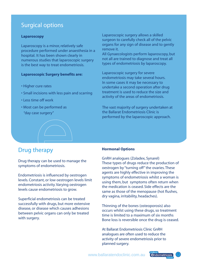# Surgical options

#### **Laparoscopy**

Laparoscopy is a minor, relatively safe procedure performed under anaesthesia in a hospital. It has been shown clearly in numerous studies that laparoscopic surgery is the best way to treat endometriosis.

#### **Laparoscopic Surgery benefits are:**

- Higher cure rates
- Small incisions with less pain and scarring
- Less time off work
- Most can be performed as "day case surgery"



All Gynaecologists perform laparoscopy, but not all are trained to diagnose and treat all types of endometriosis by laparoscopy.

Laparoscopic surgery for severe endometriosis may take several hours. In some cases it may be necessary to undertake a second operation after drug treatment is used to reduce the size and activity of the areas of endometriosis.

The vast majority of surgery undertaken at the Ballarat Endometriosis Clinic is performed by the laparoscopic approach.

# Drug therapy

Drug therapy can be used to manage the symptoms of endometriosis.

Endometriosis is influenced by oestrogen levels. Constant, or low oestrogen levels limit endometriosis activity.Varying oestrogen levels cause endometriosis to grow.

Superficial endometriosis can be treated successfully with drugs, but more extensive disease, or disease which causes adhesions between pelvic organs can only be treated with surgery.

#### **Hormonal Options**

GnRH analogues (Zoladex, Synarel) These types of drugs reduce the production of oestrogen by "turning off" the ovaries. These agents are highly effective in improving the symptoms of endometriosis whilst a woman is using them, but symptoms often return when the medication is ceased. Side effects are the same as those of the menopause (hot flushes, dry vagina, irritability, headaches).

Thinning of the bones (osteoporosis) also occurs whilst using these drugs, so treatment time is limited to a maximum of six months Bone loss is reversible once the drug is ceased.

At Ballarat Endometriosis Clinic GnRH analogues are often used to reduce the activity of severe endometriosis prior to planned surgery.

www.ballaratendoclinic.com.au **Condometriosis** 

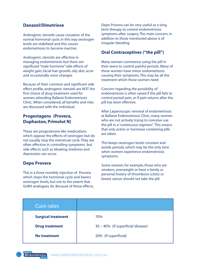## **Danazol/Dimetriose**

Androgenic steroids cause cessation of the normal hormonal cycle, in this way oestrogen levels are stabilized and this causes endometriosis to become inactive.

Androgenic steroids are effective in managing endometriosis but there are significant "male hormone"side effects of weight gain, facial hair growth, oily skin, acne and occasionally voice changes.

Because of their common and significant side effect profile, androgenic steroids are NOT the first choice of drug treatment used for women attending Ballarat Endometriosis Clinic. When considered, all benefits and risks are discussed with the individual.

## **Progestagens (Provera, Duphaston, Primolut N)**

These are progesterone like medications which oppose the effects of oestrogen but do not usually stop the menstrual cycle.They are often effective in controlling symptoms but side effects such as bloating, tiredness and depression can occur.

#### **Depo Provera**

This is a three monthly injection of Provera which stops the hormonal cycle and lowers oestrogen levels, but not to the extent that GnRH analogues do. Because of these effects, Depo Provera can be very useful as a long term therapy to control endometriosis symptoms after surgery.The main concern, in addition to those mentioned above is of irregular bleeding.

### **Oral Contraceptives ("the pill")**

Many women commence using the pill in their teens to control painful periods. Many of these women have minor endometriosis causing their symptoms.This may be all the treatment which these women need.

Concern regarding the possibility of endometriosis is often raised if the pill fails to control period pain, or if pain returns after the pill has been effective.

After Laparoscopic removal of endometriosis at Ballarat Endometriosis Clinic, many women who are not actively trying to conceive use the pill in a "continuous regimen". This means that only active or hormone containing pills are taken.

This keeps oestrogen levels constant and avoids periods, which may be the only time when women experience endometriosis symptoms.

Some women, for example, those who are smokers, overweight or have a family or personal history of thrombosis (clots) or breast cancer should not take the pill.

| <b>Cure rates</b>         |                                   |
|---------------------------|-----------------------------------|
| <b>Surgical treatment</b> | 70%                               |
| <b>Drug treatment</b>     | 30 - 40% (if superficial disease) |
| <b>No treatment</b>       | 20% (if superficial)              |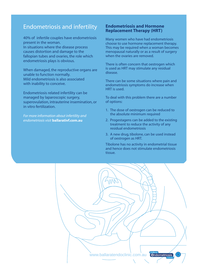# Endometriosis and infertility

40% of infertile couples have endometriosis present in the woman. In situations where the disease process causes distortion and damage to the fallopian tubes and ovaries, the role which endometriosis plays is obvious.

When damaged, the reproductive organs are unable to function normally. Mild endometriosis is also associated with inability to conceive.

Endometriosis related infertility can be managed by laparoscopic surgery, superovulation, intrauterine insemination, or in vitro fertilization.

*For more information about infertility and endometriosis visit* **ballarativf.com.au**

#### **Endometriosis and Hormone Replacement Therapy (HRT)**

Many women who have had endometriosis choose to use hormone replacement therapy. This may be required when a woman becomes menopausal naturally or as a result of surgery when the ovaries are removed.

There is often concern that oestrogen which is used as HRT may stimulate any residual disease.

There can be some situations where pain and endometriosis symptoms do increase when HRT is used.

To deal with this problem there are a number of options:

- 1. The dose of oestrogen can be reduced to the absolute minimum required
- 2. Progestagens can be added to the existing treatment to reduce the activity of any residual endometriosis
- 3. A new drug, tibolone, can be used instead of oestrogen as HRT.

Tibolone has no activity in endometrial tissue and hence does not stimulate endometriosis tissue.

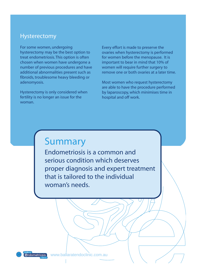# Hysterectomy

For some women, undergoing hysterectomy may be the best option to treat endometriosis.This option is often chosen when women have undergone a number of previous procedures and have additional abnormalities present such as fibroids, troublesome heavy bleeding or adenomyosis.

Hysterectomy is only considered when fertility is no longer an issue for the woman.

Every effort is made to preserve the ovaries when hysterectomy is performed for women before the menopause. It is important to bear in mind that 10% of women will require further surgery to remove one or both ovaries at a later time.

Most women who request hysterectomy are able to have the procedure performed by laparoscopy, which minimises time in hospital and off work.

# Summary

Endometriosis is a common and serious condition which deserves proper diagnosis and expert treatment that is tailored to the individual woman's needs.



endometriosis www.ballaratendoclinic.com.au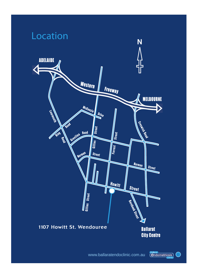

www.ballaratendoclinic.com.au (endometriosis)